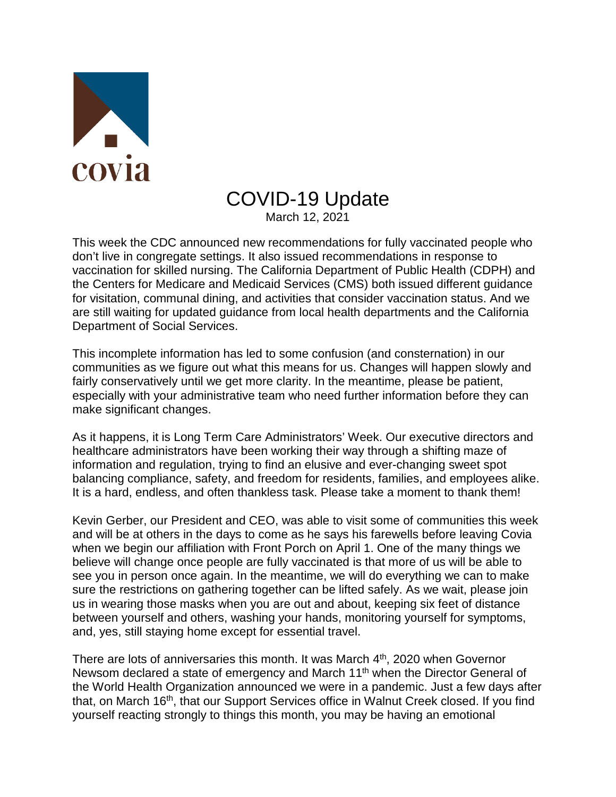

## COVID-19 Update

March 12, 2021

This week the CDC announced new recommendations for fully vaccinated people who don't live in congregate settings. It also issued recommendations in response to vaccination for skilled nursing. The California Department of Public Health (CDPH) and the Centers for Medicare and Medicaid Services (CMS) both issued different guidance for visitation, communal dining, and activities that consider vaccination status. And we are still waiting for updated guidance from local health departments and the California Department of Social Services.

This incomplete information has led to some confusion (and consternation) in our communities as we figure out what this means for us. Changes will happen slowly and fairly conservatively until we get more clarity. In the meantime, please be patient, especially with your administrative team who need further information before they can make significant changes.

As it happens, it is Long Term Care Administrators' Week. Our executive directors and healthcare administrators have been working their way through a shifting maze of information and regulation, trying to find an elusive and ever-changing sweet spot balancing compliance, safety, and freedom for residents, families, and employees alike. It is a hard, endless, and often thankless task. Please take a moment to thank them!

Kevin Gerber, our President and CEO, was able to visit some of communities this week and will be at others in the days to come as he says his farewells before leaving Covia when we begin our affiliation with Front Porch on April 1. One of the many things we believe will change once people are fully vaccinated is that more of us will be able to see you in person once again. In the meantime, we will do everything we can to make sure the restrictions on gathering together can be lifted safely. As we wait, please join us in wearing those masks when you are out and about, keeping six feet of distance between yourself and others, washing your hands, monitoring yourself for symptoms, and, yes, still staying home except for essential travel.

There are lots of anniversaries this month. It was March 4<sup>th</sup>, 2020 when Governor Newsom declared a state of emergency and March 11<sup>th</sup> when the Director General of the World Health Organization announced we were in a pandemic. Just a few days after that, on March 16<sup>th</sup>, that our Support Services office in Walnut Creek closed. If you find yourself reacting strongly to things this month, you may be having an emotional